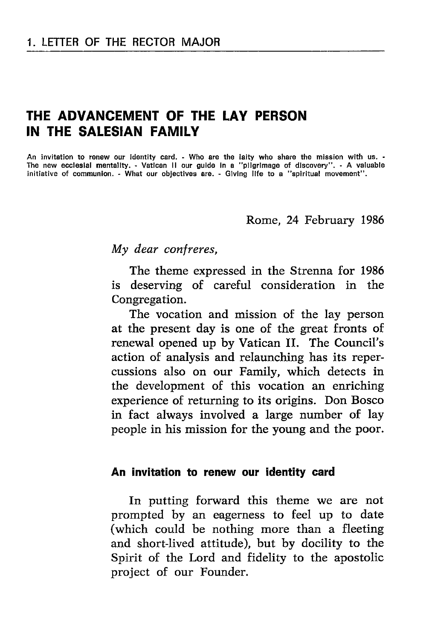# THE ADVANGEMENT OF THE LAY PERSON IN THE SALESIAN FAMILY

An invitation to renew our identity card. - Who are the laity who share the mission with us. -The new eccloglal mentallty. - Vatlcan ll our gulde ln a "pllgrlmage of dlscovery". - A valuable initiative of communion. - What our objectives are. - Giving life to a "spiritual movement".

#### Rome, 24 February 1986

My dear confreres,

The theme expressed in the Strenna for <sup>1986</sup> is deserving of careful consideration in the Congregation.

The vocation and mission of the lay person at the present day is one of the great fronts of renewal opened up by Vatican II. The Council's action of analysis and relaunching has its repercussions also on our Family, which detects in the development of this vocation an enriching experience of returning to its origins. Don Bosco in fact always involved a large number of lay people in his mission for the young and the poor.

#### An invitation to renew our identity card

In putting forward this theme we are not prompted by an eagerness to feel up to date (which could be nothing more than a fleeting and short-lived attitude), but by docility to the Spirit of the Lord and fidelity to the apostolic project of our Founder.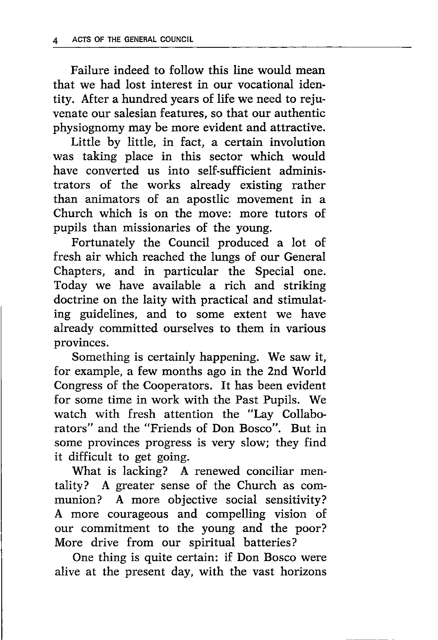Failure indeed to follow this line would mean that we had lost interest in our vocational identity. After a hundred years of life we need to rejuvenate our salesian features, so that our authentic physiognomy may be more evident and attractive.

Little by little, in fact, a certain involution was taking place in this sector which would have converted us into self-sufficient administrators of the works already existing rather than animators of an apostlic movement in <sup>a</sup> Church which is on the move: more tutors of pupils than missionaries of the young.

Fortunately the Council produced a lot of fresh air which reached the lungs of our General Chapters, and in particular the Special one. Today we have available a rich and striking doctrine on the laity with practical and stimulating guidelines, and to some extent we have already committed ourselves to them in various provinces.

Something is certainly happening. We saw it, for example, a few months ago in the 2nd World Congress of the Cooperators. It has been evident for some time in work with the Past Pupils. We watch with fresh attention the "Lay Collaborators" and the "Friends of Don Bosco". But in some provinces progress is very slow; they find it difficult to get going.

What is lacking? A renewed conciliar mentality? A greater sense of the Church as communion? A more objective social sensitivity? A more courageous and compelling vision of our commitment to the young and the poor? More drive from our spiritual batteries?

One thing is quite certain: if Don Bosco were alive at the present day, with the vast horizons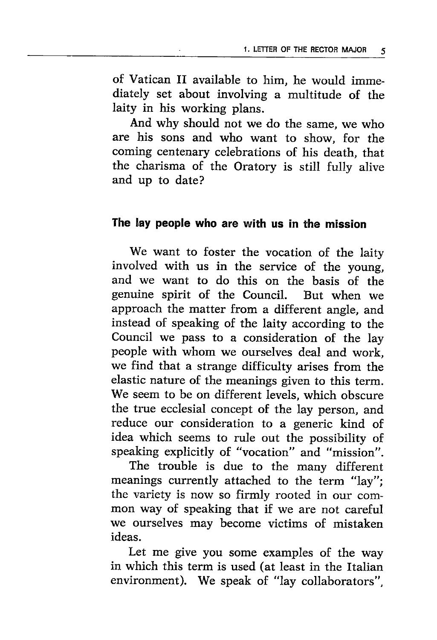of Vatican II available to him, he would immediately set about involving a multitude of the laity in his working plans.

And why should not we do the same, we who are his sons and who want to show, for the coming centenary celebrations of his death, that the charisma of the Oratory is still fully alive and up to date?

## The lay people who are with us in the mission

We want to foster the vocation of the laity involved with us in the service of the young, and we want to do this on the basis of the genuine spirit of the Council. But when we approach the matter from a different angle, and instead of speaking of the laity according to the Council we pass to a consideration of the lay people with whom we ourselves deal and work, we find that a strange difficulty arises from the elastic nature of the meanings given to this term. We seem to be on different levels, which obscure the true ecclesial concept of the lay person, and reduce our consideration to a generic kind of idea which seems to rule out the possibility of speaking explicitly of "vocation" and "mission".

The trouble is due to the many different meanings currently attached to the term "lay"; the variety is now so firmly rooted in our common way of speaking that if we are not careful we ourselves may become victims of mistaken ideas.

Let me give you some examples of the way in which this term is used (at least in the Italian environment). We speak of "lay collaborators",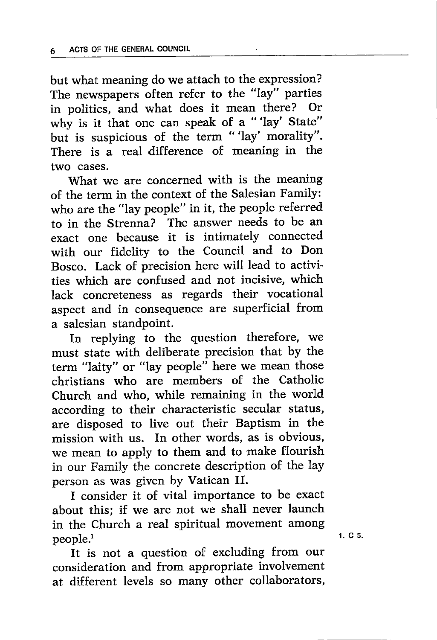but what meaning do we attach to the expression? The newspapers often refer to the "lay" parties in politics, and what does it mean there? Or why is it that one can speak of a "'lay' State" but is suspicious of the term "'lay' morality". There is a real difference of meaning in the two cases.

What we are concerned with is the meaning of the term in the context of the Salesian Family: who are the "lay people" in it, the people referred to in the Strenna? The answer needs to be an exact one because it is intimately connected with our fidelity to the Council and to Don Bosco. Lack of precision here will lead to activities which are confused and not incisive, which lack concreteness as regards their vocational aspect and in consequence are superficial from a salesian standpoint.

In replying to the question therefore, we must state with deliberate precision that by the term "laity" or "lay people" here we mean those christians who are members of the Catholic Church and who, while remaining in the world according to their characteristic secular status, are disposed to live out their Baptism in the mission with us. In other words, as is obvious, we mean to apply to them and to make flourish in our Family the concrete description of the lay person as was given by Vatican II.

I consider it of vital importance to be exact about this; if we are not we shall never launch in the Church a real spiritual movement among people.<sup>1</sup>

It is not a question of excluding from our consideration and from appropriate involvement at different levels so many other collaborators,

1.Cs.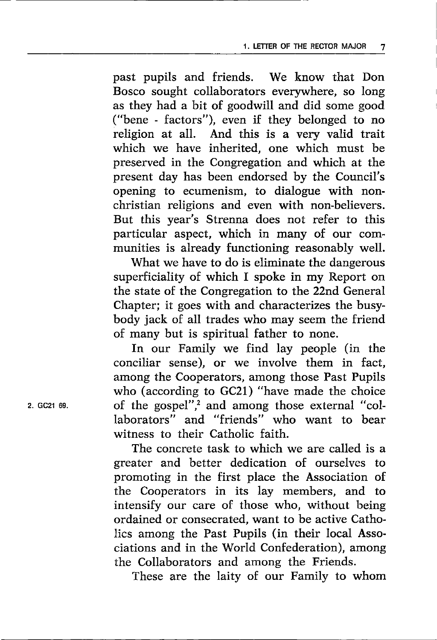past pupils and friends. We know that Don Bosco sought collaborators everywhere, so long as they had a bit of goodwill and did some good ("bene - factors"), even if they belonged to no religion at all. And this is a very valid trait which we have inherited, one which must be preserved in the Congregation and which at the present day has been endorsed by the Council's opening to ecumenism, to dialogue with nonchristian religions and even with non-believers. But this year's Strenna does not refer to this particular aspect, which in many of our communities is already functioning reasonably well.

What we have to do is eliminate the dangerous superficiality of which I spoke in my Report on the state of the Congregation to the 22nd General Chapter; it goes with and characterizes the busybody jack of all trades who may seem the friend of many but is spiritual father to none.

fn our Family we find lay people (in the conciliar sense), or we involve them in fact, among the Cooperators, among those Fast Pupils who (according to GC21) "have made the choice of the gospel", $\frac{1}{2}$  and among those external "collaborators" and "friends" who want to bear witness to their Catholic faith.

The concrete task to which we are called is a greater and better dedication of ourselves to promoting in the first place the Association of the Cooperators in its lay members, and to intensify our care of those who, without being ordained or consecrated, want to be active Catholics among the Past Pupils (in their local Associations and in the World Confederation), among the Collaborators and among the Friends.

These are the laity of our Family to whom

2. GC21 69.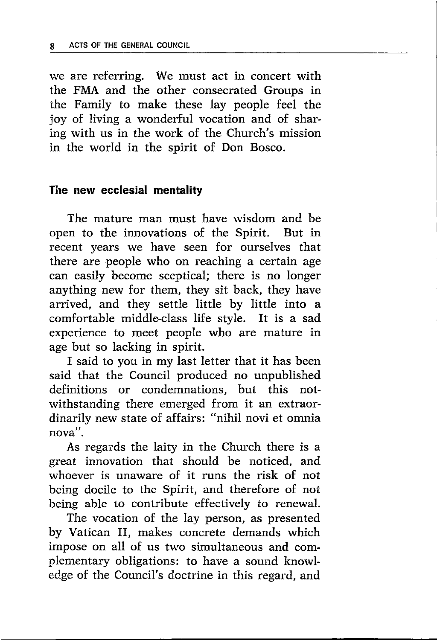we are referring. We must act in concert with the FMA and the other consecrated Groups in the Family to make these lay people feel the joy of living a wonderful vocation and of sharing with us in the work of the Church's mission in the world in the spirit of Don Bosco.

#### The new ecclesial mentality

The mature man must have wisdom and be open to the innovations of the Spirit. But in recent years we have seen for ourselves that there are people who on reaching a certain age can easily become sceptical; there is no longer anything new for them, they sit back, they have arrived, and they settle little by little into <sup>a</sup> comfortable middle-class life style. It is a sad experience to meet people who are mature in age but so lacking in spirit.

I said to you in my last letter that it has been said that the Council produced no unpublished definitions or condemnations, but this notwithstanding there emerged from it an extraordinarily new state of affairs: "nihil novi et omnia nova".

As regards the laity in the Church there is <sup>a</sup> great innovation that should be noticed, and whoever is unaware of it runs the risk of not being docile to the Spirit, and therefore of not being able to contribute effectively to renewal.

The vocation of the lay person, as presented by Vatican II, makes concrete demands which impose on all of us two simultaneous and complementary obligations: to have a sound knowledge of the Council's doctrine in this regard, and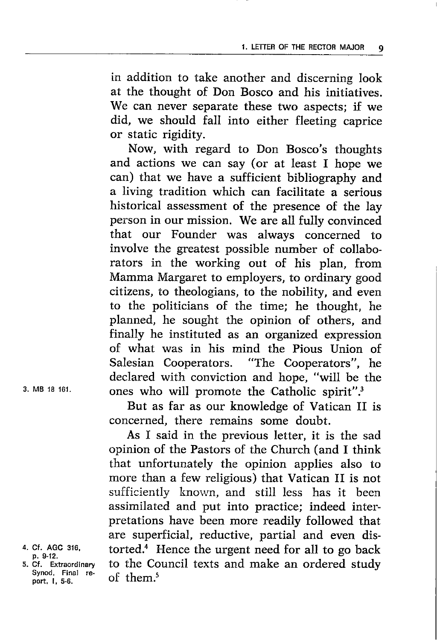in addition to take another and discerning look at the thought of Don Bosco and his initiatives. We can never separate these two aspects; if we did, we should fall into either fleeting caprice or static rigidity.

Now, with regard to Don Bosco's thoughts and actions we can say (or at least I hope we can) that we have a sufficient bibliography and a living tradition which can facilitate a serious historical assessment of the presence of the lay person in our mission. We are all fully convinced that our Founder was always concerned to involve the greatest possible number of collaborators in the working out of his plan, from Mamma Margaret to employers, to ordinary good citizens, to theologians, to the nobility, and even to the politicians of the time; he thought, he planned, he sought the opinion of others, and finally he instituted as an organized expression of what was in his mind the Pious Union of Salesian Cooperators. "The Cooperators", he "The Cooperators", he declared with conviction and hope, "will be the ones who will promote the Catholic spirit".3

But as far as our knowledge of Vatican II is concerned, there remains some doubt.

As I said in the previous letter, it is the sad opinion of the Pastors of the Church (and I think that unfortunately the opinion applies also to more than a few religious) that Vatican II is not sufficiently known, and still less has it been assimilated and put into practice; indeed interpretations have been more readily followed that are superficial, reductive, partial and even distorted.<sup>4</sup> Hence the urgent need for all to go back to the Council texts and make an ordered study of them.<sup>5</sup>

3. MB 18 <sup>161</sup>

<sup>4.</sup> Cf. AGC 316, p. 9-12.

<sup>5,</sup> Cf. Extraordinary Synod, Final report, l, 5-6.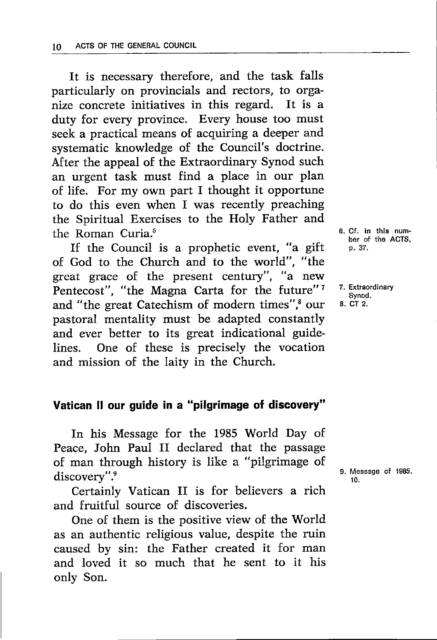It is necessary therefore, and the task falls particularly on provincials and rectors, to organize concrete initiatives in this regard. It is <sup>a</sup> duty for every province. Every house too must seek a practical means of acquiring a deeper and systematic knowledge of the Council's doctrine. After the appeal of the Extraordinary Synod such an urgent task must find a place in our plan of life. For my own part I thought it opportune to do this even when I was recently preaching the Spiritual Exercises to the Holy Father and the Roman Curia.<sup>6</sup>

If the Council is a prophetic event, "a gift of God to the Church and to the world", "the great grace of the present century", "a new Pentecost", "the Magna Carta for the future"<sup>7</sup> and "the great Catechism of modern times",<sup>8</sup> our pastoral mentality must be adapted constantly and ever better to its great indicational guidelines. One of these is precisely the vocation and mission of the laity in the Church.

# Vatican !l our guide in a "pilgrimage of discovery"

In his Message for the 1985 World Day of Peace, John Paul II declared that the passage of man through history is like a "pilgrimage of discovery".9

Certainly Vatican II is for believers a rich and fruitful source of discoveries.

One of them is the positive view of the World as an authentic religious value, despite the ruin caused by sin: the Father created it for man and loved it so much that he sent to it his only Son.

6. Cf. ln thls number of the ACTS. p. 37.

7. Extraordinary Synod. 8. CT 2.

9. Message of 1985, t0.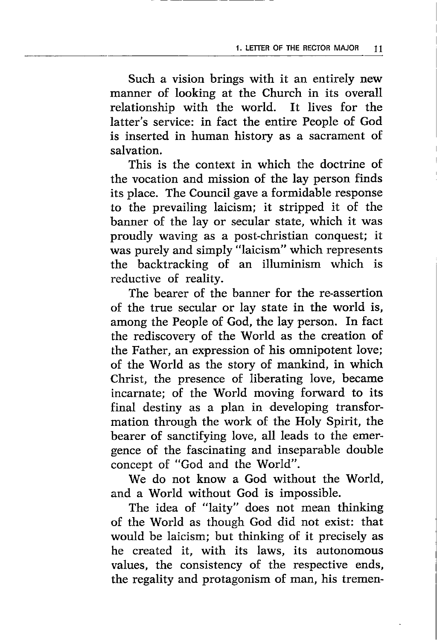Such a vision brings with it an entirely new manner of looking at the Church in its overall relationship with the world. It lives for the latter's service: in fact the entire People of God is inserted in human history as a sacrament of salvation.

This is the context in which the doctrine of the vocation and mission of the lay person finds its place. The Council gave a formidable response to the prevailing laicism; it stripped it of the banner of the lay or secular state, which it was proudly waving as a post-christian conquest; it was purely and simply "laicism" which represents the backtracking of an illuminism which is reductive of reality.

The bearer of the banner for the re-assertion of the true secular or lay state in the world is, among the People of God, the lay person. In fact the rediscovery of the World as the creation of the Father, an expression of his omnipotent love; of the World as the story of mankind, in which Christ, the presence of liberating love, became incarnate; of the World moving forward to its final destiny as a plan in developing transformation through the work of the Holy Spirit, the bearer of sanctifying love, all leads to the emergence of the fascinating and inseparable double concept of "God and the World".

We do not know a God without the World. and a World without God is impossible.

The idea of "laity" does not mean thinking of the World as though God did not exist: that would be laicism; but thinking of it precisely as he created it, with its laws, its autonomous values, the consistency of the respective ends, the regality and protagonism of man, his tremen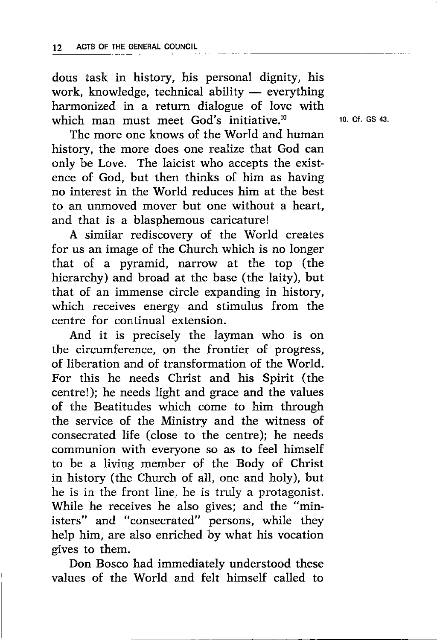dous task in history, his personal dignity, his work, knowledge, technical ability — everything work, knowledge, lechnical ability — everything<br>harmonized in a return dialogue of love with which man must meet God's initiative.<sup>10</sup>

The more one knows of the World and human history, the more does one realize that God can only be Love. The laicist who accepts the existence of God, but then thinks of him as having no interest in the World reduces him at the best to an unmoved mover but one without a heart, and that is a blasphemous caricature!

A similar rediscovery of the World creates for us an image of the Church which is no longer that of a pyramid, narrow at the top (the hierarchy) and broad at the base (the laity), but that of an immense circle expanding in history, which receives energy and stimulus from the centre for continual extension.

And it is precisely the layman who is on the circumference, on the frontier of progress, of liberation and of transformation of the World. For this he needs Christ and his Spirit (the centre!); he needs light and grace and the values of the Beatitudes which come to him through the service of the Ministry and the witness of consecrated life (close to the centre); he needs communion with everyone so as to feel himself to be a living member of the Body of Christ in history (the Church of all, one and holy), but he is in the front line, he is truly a protagonist. While he receives he also gives; and the "ministers" and "consecrated" persons, while they help him, are also enriched by what his vocation gives to them.

Don Bosco had immediately understood these values of the World and felt himself called to

10. Cf. GS 43.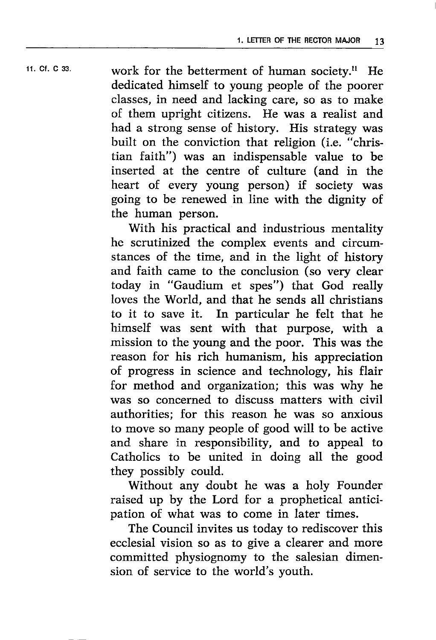11.  $CF. C 33.$  work for the betterment of human society.<sup>11</sup> He dedicated himself to young people of the poorer classes, in need and lacking care, so as to make of them upright citizens. He was a realist and had a strong sense of history. His strategy was built on the conviction that religion (i.e. "christian faith") was an indispensable value to be inserted at the centre of culture (and in the heart of every young person) if society was going to be renewed in line with the dignity of the human person.

> With his practical and industrious mentality he scrutinized the complex events and circumstances of the time, and in the light of history and faith came to the conclusion (so very clear today in "Gaudium et spes") that God really loves the World, and that he sends all christians to it to save it. In particular he felt that he himself was sent with that purpose, with <sup>a</sup> mission to the young and the poor. This was the reason for his rich humanism, his appreciation of progress in science and technology, his flair for method and organization; this was why he was so concerned to discuss matters with civil authorities; for this reason he was so anxious to move so many people of good will to be active and share in responsibility, and to appeal to Catholics to be united in doing all the good they possibly could.

> Without any doubt he was a holy Founder raised up by the Lord for a prophetical anticipation of what was to come in later times.

> The Council invites us today to rediscover this ecclesial vision so as to give a clearer and more committed physiognomy to the salesian dimension of service to the world's youth.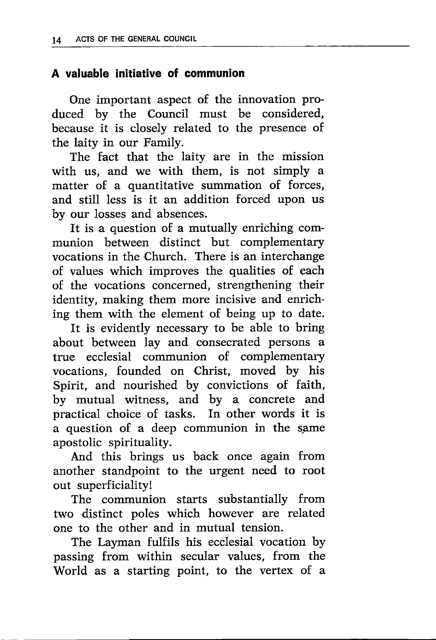# A valuable initiative of communion

One important aspect of the innovation produced by the Council must be considered, because it is closely related to the presence of the laity in our Family.

The fact that the laity are in the mission with us, and we with them, is not simply <sup>a</sup> matter of a quantitative summation of forces, and still less is it an addition forced upon us by our losses and absences.

It is a question of a mutually enriching communion between distinct but complementary vocations in the Church. There is an interchange of values which improves the qualities of each of the vocations concerned, strengthening their identity, making them more incisive and enriching them with the element of being up to date.

It is evidently necessary to be able to bring about between lay and consecrated persons a true ecclesial communion of complementary vocations, founded on Christ, moved by his Spirit, and nourished by convictions of faith, by mutual witness, and by a concrete and practical choice of tasks. In other words it is a question of a deep communion in the same apostolic spirituality.

And this brings us back once again from another standpoint to the urgent need to root out superficiality!

The communion starts substantially from two distinct poles which however are related one to the other and in mutual tension.

The Layman fulfils his ecclesial vocation by passing from within secular values, from the World as a starting point, to the vertex of a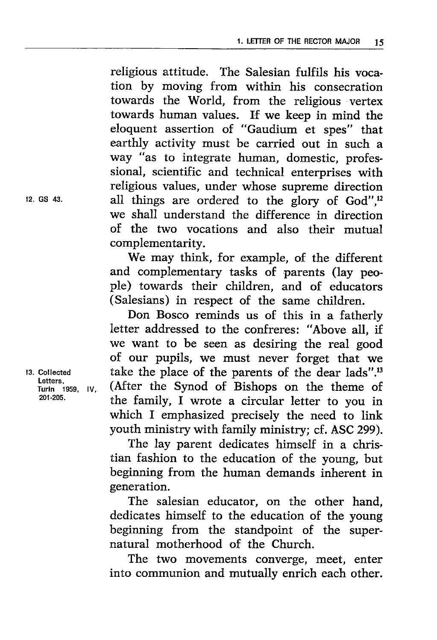religious attitude. The Salesian fulfils his vocation by moving from within his consecration towards the World, from the religious vertex towards human values. If we keep in mind the eloquent assertion of "Gaudium et spes" that earthly activity must be carried out in such <sup>a</sup> way "as to integrate human, domestic, professional, scientific and technical enterprises with religious values, under whose supreme direction all things are ordered to the glory of God",<sup>12</sup> we shall understand the difference in direction of the two vocations and also their mutual complementarity.

We may think, for example, of the different and complementary tasks of parents (lay people) towards their children, and of educators (Salesians) in respect of the same children.

Don Bosco reminds us of this in a fatherly letter addressed to the confreres: "Above all, if we want to be seen as desiring the real good of our pupils, we must never forget that we take the place of the parents of the dear lads".<sup>13</sup> (After the Synod of Bishops on the theme of the family, f wrote a circular letter to you in which I emphasized precisely the need to link youth ministry with family ministry; cf. ASC 299).

The lay parent dedicates himself in a christian fashion to the education of the young, but beginning from the human demands inherent in generation.

The salesian educator, on the other hand, dedicates himself to the education of the young beginning from the standpoint of the supernatural motherhood of the Church.

The two movements converge, meet, enter into communion and mutually enrich each other.

12. GS 43.

13. Gollected Letters, Turin 1959, IV, 201-205.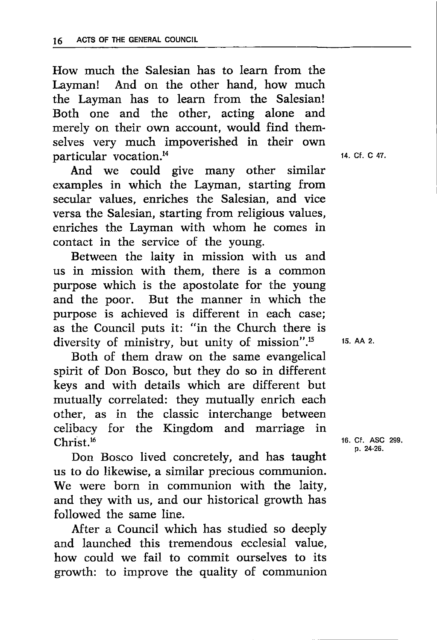How much the Salesian has to learn from the Layman! And on the other hand, how much the Layman has to learn from the Salesian! Both one and the other, acting alone and merely on their own account, would find themselves very much impoverished in their own particular vocation.<sup>14</sup>

And we could give many other similar examples in which the Layman, starting from secular values, enriches the Salesian, and vice versa the Salesian, starting from religious values, enriches the Layman with whom he comes in contact in the service of the young.

Between the laity in mission with us and us in mission with them, there is a common purpose which is the apostolate for the young and the poor. But the manner in which the purpose is achieved is different in each case; as the Council puts it: "in the Church there is diversity of ministry, but unity of mission".<sup>15</sup>

Both of them draw on the same evangelical spirit of Don Bosco, but they do so in different keys and with details which are different but mutually correlated: they mutually enrich each other, as in the classic interchange between celibacy for the Kingdom and marriage in Christ.16

Don Bosco lived concretely, and has taught us to do likewise, a similar precious communion. We were born in communion with the laity, and they with us, and our historical growth has followed the same line.

After a Council which has studied so deeply and launched this tremendous ecclesial value, how could we fail to commit ourselves to its growth: to improve the quality of communion 14. Ct. C 47

15. AA 2.

16. Cf. ASC 299, p. 24-26.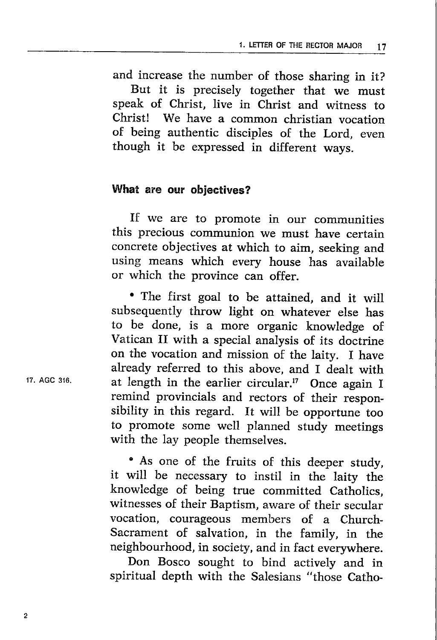and increase the number of those sharing in it? But it is precisely together that we must speak of Christ, Iive in Christ and witness to Christ! We have a common christian vocation of being authentic disciples of the Lord, even though it be expressed in different ways.

# What are our objectives?

If we are to promote in our communities this precious communion we must have certain concrete objectives at which to aim, seeking and using means which every house has available or which the province can offer.

' The first goal to be attained, and it will subsequently throw light on whatever else has to be done, is a more organic knowledge of Vatican II with a special analysis of its doctrine on the vocation and mission of the laity. I have already referred to this above, and I dealt with at length in the earlier circular.<sup>17</sup> Once again I remind provincials and rectors of their responsibility in this regard. It will be opportune too to promote some well planned study meetings with the lay people themselves.

• As one of the fruits of this deeper study, it will be necessary to instil in the laity the knowledge of being true committed Catholics, witnesses of their Baptism, aware of their secular vocation, courageous members of a Church-Sacrament of salvation, in the family, in the neighbourhood, in society, and in fact everywhere.

Don Bosco sought to bind actively and in spiritual depth with the Salesians "those Catho-

'17. AGC 316.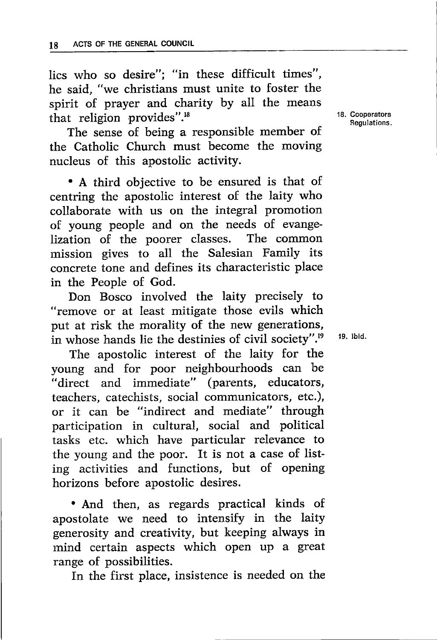lics who so desire"; "in these difficult times", he said, "we christians must unite to foster the spirit of prayer and charity by all the means that religion provides". $18$ 

The sense of being a responsible member of the Catholic Church must become the moving nucleus of this apostolic activity.

'A third objective to be ensured is that of centring the apostolic interest of the laity who collaborate with us on the integral promotion of young people and on the needs of evange-<br>lization of the poorer classes. The common lization of the poorer classes. mission gives to all the Salesian Family its concrete tone and defines its characteristic place in the People of God.

Don Bosco involved the laity precisely to "remove or at least mitigate those evils which put at risk the morality of the new generations, in whose hands lie the destinies of civil society".<sup>19</sup>

The apostolic interest of the laity for the young and for poor neighbourhoods can be "direct and immediate" (parents, educators, teachers, catechists, social communicators, etc.), or it can be "indirect and mediate" through participation in cultural, social and political tasks etc. which have particular relevance to the young and the poor. It is not a case of listing activities and functions, but of opening horizons before apostolic desires.

'And then, as regards practical kinds of apostolate we need to intensify in the laity generosity and creativity, but keeping always in mind certain aspects which open up a great range of possibilities.

In the first place, insistence is needed on the

18. Cooparators Regulations.

19. ibid.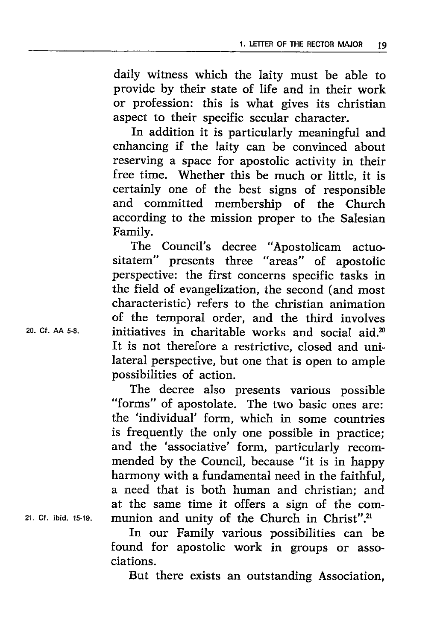daily witness which the laity must be able to provide by their state of life and in their work or profession: this is what gives its christian aspect to their specific secular character.

In addition it is particularly meaningful and enhancing if the laity can be convinced about reserving a space for apostolic activity in their free time. Whether this be much or little, it is certainly one of the best signs of responsible and committed membership of the Church according to the mission proper to the Salesian Family.

The Council's decree "Apostolicam actuositatem" presents three "areas" of apostolic perspective: the first concerns specific tasks in the field of evangelization, the second (and most characteristic) refers to the christian animation of the temporal order, and the third involves initiatives in charitable works and social aid. $x^0$ It is not therefore a restrictive, closed and unilateral perspective, but one that is open to ample possibilities of action.

The decree also presents various possible "forms" of apostolate. The two basic ones are: the 'individual' form, which in some countries is frequently the only one possible in practice; and the 'associative' form, particularly recommended by the Council, because "it is in happy harmony with a fundamental need in the faithful, a need that is both human and christian; and at the same time it offers a sign of the communion and unity of the Church in Christ".<sup>21</sup>

In our Family various possibilities can be found for apostolic work in groups or associations.

But there exists an outstanding Association,

20. cf. AA 5-8.

21. Cf. ibid. 15-19.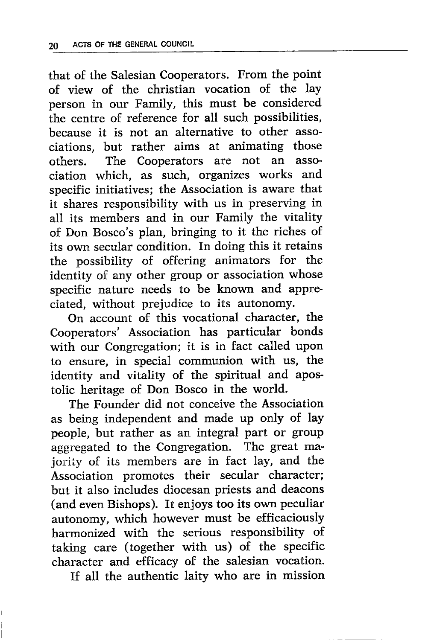that of the Salesian Cooperators. From the point of view of the christian vocation of the lay person in our Family, this must be considered the centre of reference for all such possibilities, because it is not an alternative to other associations, but rather aims at animating those others. The Cooperators are not an association which, as such, organizes works and specific initiatives; the Association is aware that it shares responsibility with us in preserving in all its members and in our Family the vitality of Don Bosco's plan, bringing to it the riches of its own secular condition. In doing this it retains the possibility of offering animators for the identity of any other group or association whose specific nature needs to be known and appreciated, without prejudice to its autonomy.

On account of this vocational character, the Cooperators' Association has particular bonds with our Congregation; it is in fact called upon to ensure, in special communion with us, the identity and vitality of the spiritual and apostolic heritage of Don Bosco in the world.

The Founder did not conceive the Association as being independent and made up only of lay people, but rather as an integral part or group aggregated to the Congregation. The great majority of its members are in fact lay, and the Association promotes their secular character; but it also includes diocesan priests and deacons (and even Bishops). It enjoys too its own peculiar autonomy, which however must be efficaciously harmonized with the serious responsibility of taking care (together with us) of the specific character and efficacy of the salesian vocation.

If all the authentic laity who are in mission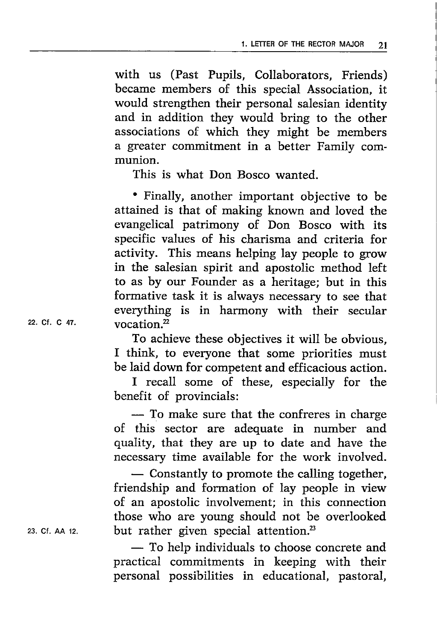with us (Past Pupils, Collaborators, Friends) became members of this special Association, it would strengthen their personal salesian identity and in addition they would bring to the other associations of which they might be members a greater commitment in a better Family communion.

This is what Don Bosco wanted.

' Finally, another important objective to be attained is that of making known and loved the evangelical patrimony of Don Bosco with its specific values of his charisma and criteria for activity. This means helping lay people to grow in the salesian spirit and apostolic method left to as by our Founder as a heritage; but in this formative task it is always necessary to see that everything is in harmony with their secular vocation.2

To achieve these objectives it will be obvious, I think, to everyone that some priorities must be laid down for competent and efficacious action.

I recall some of these, especially for the benefit of provincials:

-- To make sure that the confreres in charge<br>of this sector are adequate in number and — To make sure that the confreres in charge quality, that they are up to date and have the necessary time available for the work involved.

- Constantly to promote the calling together.<br>friendship and formation of lay people in view  $\sim$  Constantly to promote the calling together, of an apostolic involvement; in this connection those who are young should not be overlooked but rather given special attention.<sup>23</sup>

- To help individuals to choose concrete and<br>practical commitments in keeping with their - To help individuals to choose concrete and personal possibilities in educational, pastoral,

22. Ct. C 47,

23. Cf. AA 12.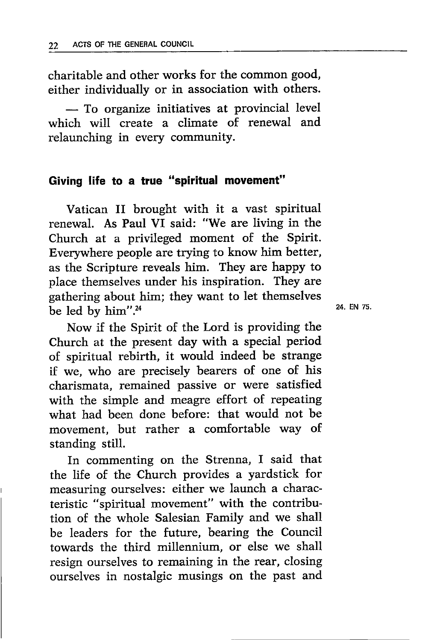charitable and other works for the common good, either individually or in association with others.

 $-$  10 organize initiatives at provincial levels<br>which will create a climate of renewal and - To organize initiatives at provincial level relaunching in every community.

## Giving life to a true "spiritual movement"

Vatican II brought with it a vast spiritual renewal. As Paul VI said: "We are living in the Church at a privileged moment of the Spirit. Everywhere people are trying to know him better, as the Scripture reveals him. They are happy to place themselves under his inspiration. They are gathering about him; they want to let themselves be led by  $him''<sup>.24</sup>$ 

Now if the Spirit of the Lord is providing the Church at the present day with a special period of spiritual rebirth, it would indeed be strange if we, who are precisely bearers of one of his charismata, remained passive or were satisfied with the simple and meagre effort of repeating what had been done before: that would not be movement, but rather a comfortable way of standing still.

In commenting on the Strenna, I said that the life of the Church provides a yardstick for measuring ourselves: either we launch a characteristic "spiritual movement" with the contribution of the whole Salesian Family and we shall be leaders for the future, bearing the Council towards the third millennium, or else we shall resign ourselves to remaining in the rear, closing ourselves in nostalgic musings on the past and 24. EN 7s.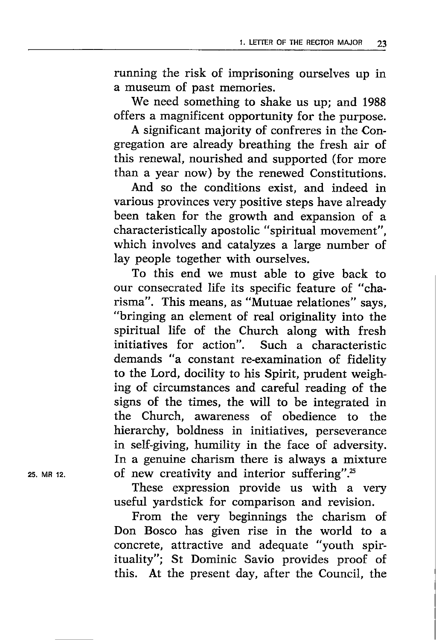running the risk of imprisoning ourselves up in a museum of past memories.

We need something to shake us up; and <sup>1988</sup> offers a magnificent opportunity for the purpose.

A significant majority of confreres in the Congregation are already breathing the fresh air of this renewal, nourished and supported (for more than a year now) by the renewed Constitutions.

And so the conditions exist, and indeed in various provinces very positive steps have already been taken for the growth and expansion of <sup>a</sup> characteristically apostolic "spiritual movement", which involves and catalyzes a large number of lay people together with ourselves.

To this end we must able to give back to our consecrated life its specific feature of "charisma". This means, as "Mutuae relationes" says, "bringing an element of real originality into the spiritual life of the Church along with fresh initiatives for action". Such a characteristic demands "a constant re-examination of fidelity to the Lord, docility to his Spirit, prudent weighing of circumstances and careful reading of the signs of the times, the will to be integrated in the Church, awareness of obedience to the hierarchy, boldness in initiatives, perseverance in self-giving, humility in the face of adversity. In a genuine charism there is always a mixture of new creativity and interior suffering".<sup>25</sup>

These expression provide us with a very useful yardstick for comparison and revision.

From the very beginnings the charism of Don Bosco has given rise in the world to <sup>a</sup> concrete, attractive and adequate "youth spirituality"; St Dominic Savio provides proof of this. At the present day, after the Council, the

25. MR 12.